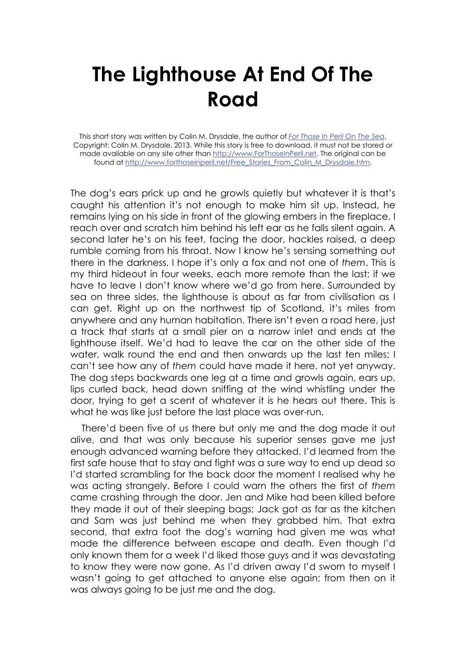## **The Lighthouse At End Of The Road**

This short story was written by Colin M. Drysdale, the author of *For Those In Peril On The Sea*. Copyright: Colin M. Drysdale, 2013. While this story is free to download, it must not be stored or made available on any site other than http://www.ForThoseInPeril.net. The original can be found at http://www.forthoseinperil.net/Free\_Stories\_From\_Colin\_M\_Drysdale.htm.

The dog's ears prick up and he growls quietly but whatever it is that's caught his attention it's not enough to make him sit up. Instead, he remains lying on his side in front of the glowing embers in the fireplace. I reach over and scratch him behind his left ear as he falls silent again. A second later he's on his feet, facing the door, hackles raised, a deep rumble coming from his throat. Now I know he's sensing something out there in the darkness, I hope it's only a fox and not one of *them*. This is my third hideout in four weeks, each more remote than the last; if we have to leave I don't know where we'd go from here. Surrounded by sea on three sides, the lighthouse is about as far from civilisation as I can get. Right up on the northwest tip of Scotland, it's miles from anywhere and any human habitation. There isn't even a road here, just a track that starts at a small pier on a narrow inlet and ends at the lighthouse itself. We'd had to leave the car on the other side of the water, walk round the end and then onwards up the last ten miles; I can't see how any of *them* could have made it here, not yet anyway. The dog steps backwards one leg at a time and growls again, ears up, lips curled back, head down sniffing at the wind whistling under the door, trying to get a scent of whatever it is he hears out there. This is what he was like just before the last place was over-run.

There'd been five of us there but only me and the dog made it out alive, and that was only because his superior senses gave me just enough advanced warning before they attacked. I'd learned from the first safe house that to stay and fight was a sure way to end up dead so I'd started scrambling for the back door the moment I realised why he was acting strangely. Before I could warn the others the first of *them* came crashing through the door. Jen and Mike had been killed before they made it out of their sleeping bags; Jack got as far as the kitchen and Sam was just behind me when they grabbed him. That extra second, that extra foot the dog's warning had given me was what made the difference between escape and death. Even though I'd only known them for a week I'd liked those guys and it was devastating to know they were now gone. As I'd driven away I'd sworn to myself I wasn't going to get attached to anyone else again; from then on it was always going to be just me and the dog.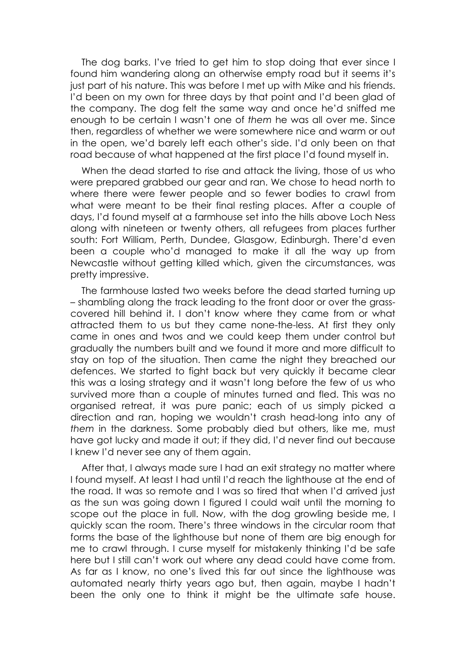The dog barks. I've tried to get him to stop doing that ever since I found him wandering along an otherwise empty road but it seems it's just part of his nature. This was before I met up with Mike and his friends. I'd been on my own for three days by that point and I'd been glad of the company. The dog felt the same way and once he'd sniffed me enough to be certain I wasn't one of *them* he was all over me. Since then, regardless of whether we were somewhere nice and warm or out in the open, we'd barely left each other's side. I'd only been on that road because of what happened at the first place I'd found myself in.

When the dead started to rise and attack the living, those of us who were prepared grabbed our gear and ran. We chose to head north to where there were fewer people and so fewer bodies to crawl from what were meant to be their final resting places. After a couple of days, I'd found myself at a farmhouse set into the hills above Loch Ness along with nineteen or twenty others, all refugees from places further south: Fort William, Perth, Dundee, Glasgow, Edinburgh. There'd even been a couple who'd managed to make it all the way up from Newcastle without getting killed which, given the circumstances, was pretty impressive.

The farmhouse lasted two weeks before the dead started turning up – shambling along the track leading to the front door or over the grasscovered hill behind it. I don't know where they came from or what attracted them to us but they came none-the-less. At first they only came in ones and twos and we could keep them under control but gradually the numbers built and we found it more and more difficult to stay on top of the situation. Then came the night they breached our defences. We started to fight back but very quickly it became clear this was a losing strategy and it wasn't long before the few of us who survived more than a couple of minutes turned and fled. This was no organised retreat, it was pure panic; each of us simply picked a direction and ran, hoping we wouldn't crash head-long into any of *them* in the darkness. Some probably died but others, like me, must have got lucky and made it out; if they did, I'd never find out because I knew I'd never see any of them again.

After that, I always made sure I had an exit strategy no matter where I found myself. At least I had until I'd reach the lighthouse at the end of the road. It was so remote and I was so tired that when I'd arrived just as the sun was going down I figured I could wait until the morning to scope out the place in full. Now, with the dog growling beside me, I quickly scan the room. There's three windows in the circular room that forms the base of the lighthouse but none of them are big enough for me to crawl through. I curse myself for mistakenly thinking I'd be safe here but I still can't work out where any dead could have come from. As far as I know, no one's lived this far out since the lighthouse was automated nearly thirty years ago but, then again, maybe I hadn't been the only one to think it might be the ultimate safe house.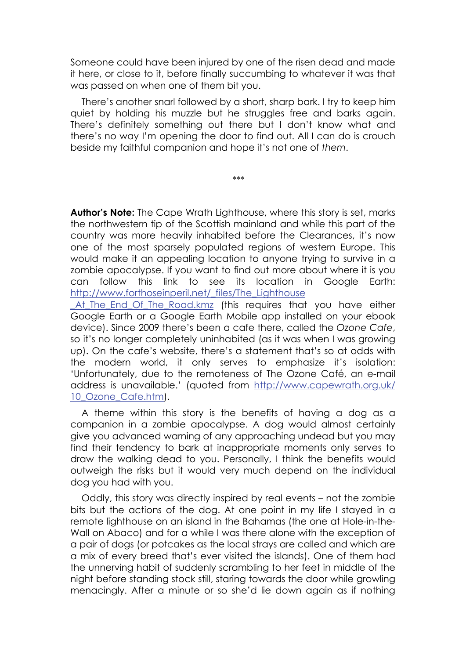Someone could have been injured by one of the risen dead and made it here, or close to it, before finally succumbing to whatever it was that was passed on when one of them bit you.

There's another snarl followed by a short, sharp bark. I try to keep him quiet by holding his muzzle but he struggles free and barks again. There's definitely something out there but I don't know what and there's no way I'm opening the door to find out. All I can do is crouch beside my faithful companion and hope it's not one of *them*.

\*\*\*

**Author's Note:** The Cape Wrath Lighthouse, where this story is set, marks the northwestern tip of the Scottish mainland and while this part of the country was more heavily inhabited before the Clearances, it's now one of the most sparsely populated regions of western Europe. This would make it an appealing location to anyone trying to survive in a zombie apocalypse. If you want to find out more about where it is you can follow this link to see its location in Google Earth: http://www.forthoseinperil.net/\_files/The\_Lighthouse

At The End Of The Road.kmz (this requires that you have either Google Earth or a Google Earth Mobile app installed on your ebook device). Since 2009 there's been a cafe there, called the *Ozone Cafe*, so it's no longer completely uninhabited (as it was when I was growing up). On the cafe's website, there's a statement that's so at odds with the modern world, it only serves to emphasize it's isolation: 'Unfortunately, due to the remoteness of The Ozone Café, an e-mail address is unavailable.' (quoted from http://www.capewrath.org.uk/ 10 Ozone Cafe.htm).

A theme within this story is the benefits of having a dog as a companion in a zombie apocalypse. A dog would almost certainly give you advanced warning of any approaching undead but you may find their tendency to bark at inappropriate moments only serves to draw the walking dead to you. Personally, I think the benefits would outweigh the risks but it would very much depend on the individual dog you had with you.

Oddly, this story was directly inspired by real events – not the zombie bits but the actions of the dog. At one point in my life I stayed in a remote lighthouse on an island in the Bahamas (the one at Hole-in-the-Wall on Abaco) and for a while I was there alone with the exception of a pair of dogs (or potcakes as the local strays are called and which are a mix of every breed that's ever visited the islands). One of them had the unnerving habit of suddenly scrambling to her feet in middle of the night before standing stock still, staring towards the door while growling menacingly. After a minute or so she'd lie down again as if nothing